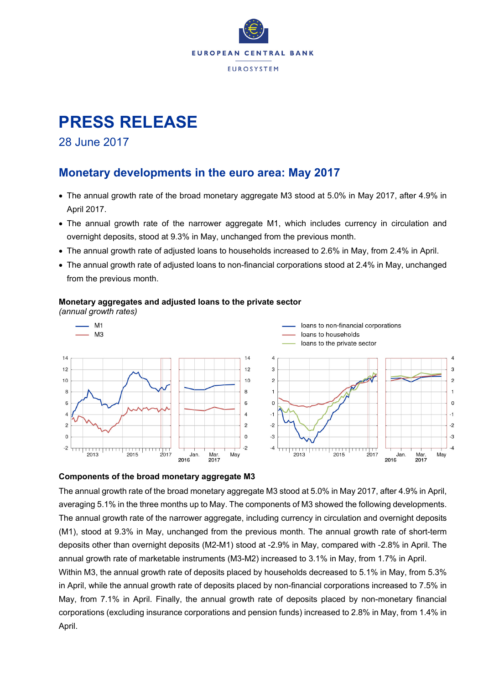

# **PRESS RELEASE**

28 June 2017

### **Monetary developments in the euro area: May 2017**

- The annual growth rate of the broad monetary aggregate M3 stood at 5.0% in May 2017, after 4.9% in April 2017.
- The annual growth rate of the narrower aggregate M1, which includes currency in circulation and overnight deposits, stood at 9.3% in May, unchanged from the previous month.
- The annual growth rate of adjusted loans to households increased to 2.6% in May, from 2.4% in April.
- The annual growth rate of adjusted loans to non-financial corporations stood at 2.4% in May, unchanged from the previous month.

#### **Monetary aggregates and adjusted loans to the private sector**

*(annual growth rates)*



#### **Components of the broad monetary aggregate M3**

The annual growth rate of the broad monetary aggregate M3 stood at 5.0% in May 2017, after 4.9% in April, averaging 5.1% in the three months up to May. The components of M3 showed the following developments. The annual growth rate of the narrower aggregate, including currency in circulation and overnight deposits (M1), stood at 9.3% in May, unchanged from the previous month. The annual growth rate of short-term deposits other than overnight deposits (M2-M1) stood at -2.9% in May, compared with -2.8% in April. The annual growth rate of marketable instruments (M3-M2) increased to 3.1% in May, from 1.7% in April. Within M3, the annual growth rate of deposits placed by households decreased to 5.1% in May, from 5.3% in April, while the annual growth rate of deposits placed by non-financial corporations increased to 7.5% in May, from 7.1% in April. Finally, the annual growth rate of deposits placed by non-monetary financial corporations (excluding insurance corporations and pension funds) increased to 2.8% in May, from 1.4% in April.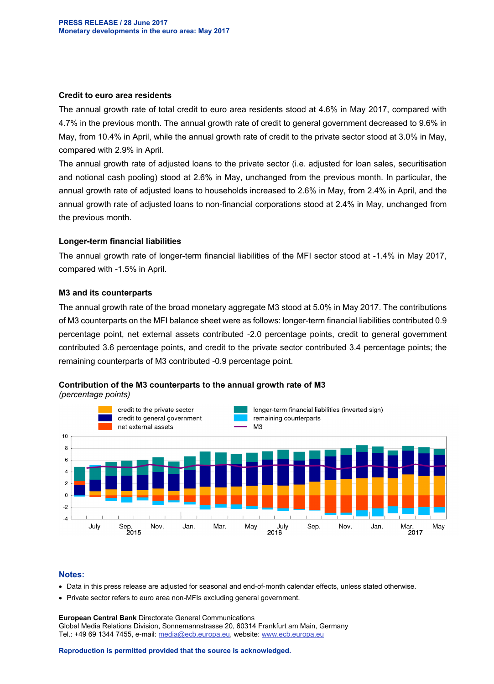#### **Credit to euro area residents**

The annual growth rate of total credit to euro area residents stood at 4.6% in May 2017, compared with 4.7% in the previous month. The annual growth rate of credit to general government decreased to 9.6% in May, from 10.4% in April, while the annual growth rate of credit to the private sector stood at 3.0% in May, compared with 2.9% in April.

The annual growth rate of adjusted loans to the private sector (i.e. adjusted for loan sales, securitisation and notional cash pooling) stood at 2.6% in May, unchanged from the previous month. In particular, the annual growth rate of adjusted loans to households increased to 2.6% in May, from 2.4% in April, and the annual growth rate of adjusted loans to non-financial corporations stood at 2.4% in May, unchanged from the previous month.

#### **Longer-term financial liabilities**

The annual growth rate of longer-term financial liabilities of the MFI sector stood at -1.4% in May 2017, compared with -1.5% in April.

#### **M3 and its counterparts**

The annual growth rate of the broad monetary aggregate M3 stood at 5.0% in May 2017. The contributions of M3 counterparts on the MFI balance sheet were as follows: longer-term financial liabilities contributed 0.9 percentage point, net external assets contributed -2.0 percentage points, credit to general government contributed 3.6 percentage points, and credit to the private sector contributed 3.4 percentage points; the remaining counterparts of M3 contributed -0.9 percentage point.

#### **Contribution of the M3 counterparts to the annual growth rate of M3**

*(percentage points)*



#### **Notes:**

- Data in this press release are adjusted for seasonal and end-of-month calendar effects, unless stated otherwise.
- Private sector refers to euro area non-MFIs excluding general government.

**European Central Bank** Directorate General Communications Global Media Relations Division, Sonnemannstrasse 20, 60314 Frankfurt am Main, Germany Tel.: +49 69 1344 7455, e-mail: [media@ecb.europa.eu,](mailto:media@ecb.europa.eu) website[: www.ecb.europa.eu](http://www.ecb.europa.eu/)

**Reproduction is permitted provided that the source is acknowledged.**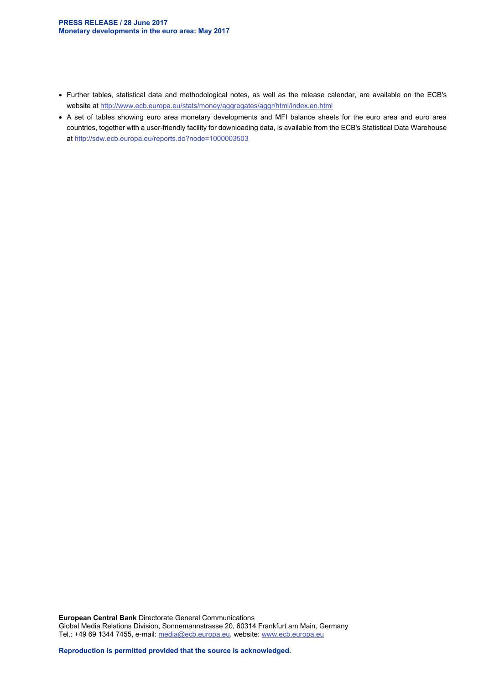- Further tables, statistical data and methodological notes, as well as the release calendar, are available on the ECB's website at<http://www.ecb.europa.eu/stats/money/aggregates/aggr/html/index.en.html>
- A set of tables showing euro area monetary developments and MFI balance sheets for the euro area and euro area countries, together with a user-friendly facility for downloading data, is available from the ECB's Statistical Data Warehouse at<http://sdw.ecb.europa.eu/reports.do?node=1000003503>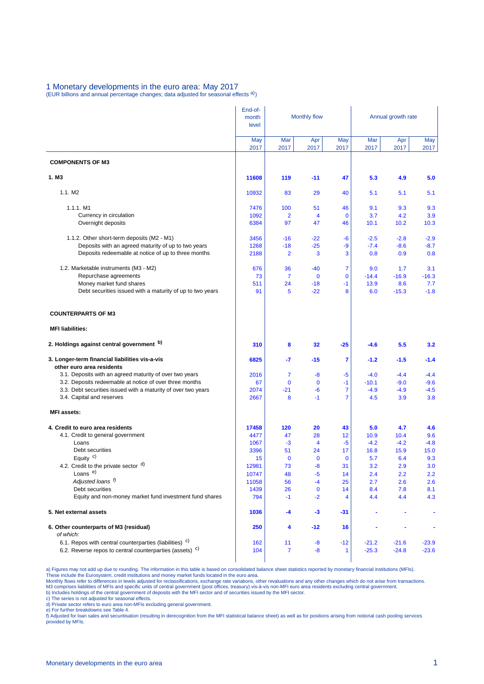### 1 Monetary developments in the euro area: May 2017

(EUR billions and annual percentage changes; data adjusted for seasonal effects a))

|                                                                                       | End-of-        |                   |                     |                   |             |                    |               |  |
|---------------------------------------------------------------------------------------|----------------|-------------------|---------------------|-------------------|-------------|--------------------|---------------|--|
|                                                                                       | month<br>level |                   | <b>Monthly flow</b> |                   |             | Annual growth rate |               |  |
|                                                                                       | May<br>2017    | Mar<br>2017       | Apr<br>2017         | May<br>2017       | Mar<br>2017 | Apr<br>2017        | May<br>2017   |  |
| <b>COMPONENTS OF M3</b>                                                               |                |                   |                     |                   |             |                    |               |  |
| 1. M <sub>3</sub>                                                                     | 11608          | 119               | $-11$               | 47                | 5.3         | 4.9                | 5.0           |  |
| 1.1. M2                                                                               | 10932          | 83                | 29                  | 40                | 5.1         | 5.1                | 5.1           |  |
| 1.1.1. M1                                                                             | 7476           | 100               | 51                  | 46                | 9.1         | 9.3                | 9.3           |  |
| Currency in circulation                                                               | 1092           | $\overline{2}$    | $\overline{4}$      | $\mathbf 0$       | 3.7         | 4.2                | 3.9           |  |
| Overnight deposits                                                                    | 6384           | 97                | 47                  | 46                | 10.1        | 10.2               | 10.3          |  |
| 1.1.2. Other short-term deposits (M2 - M1)                                            | 3456           | $-16$             | $-22$               | -6                | $-2.5$      | $-2.8$             | $-2.9$        |  |
| Deposits with an agreed maturity of up to two years                                   | 1268           | $-18$             | $-25$               | -9                | $-7.4$      | $-8.6$             | $-8.7$        |  |
| Deposits redeemable at notice of up to three months                                   | 2188           | 2                 | 3                   | 3                 | 0.8         | 0.9                | 0.8           |  |
| 1.2. Marketable instruments (M3 - M2)                                                 | 676            | 36                | $-40$               | 7                 | 9.0         | 1.7                | 3.1           |  |
| Repurchase agreements                                                                 | 73             | $\overline{7}$    | $\mathbf 0$         | $\mathbf 0$       | $-14.4$     | $-16.9$            | $-16.3$       |  |
| Money market fund shares<br>Debt securities issued with a maturity of up to two years | 511<br>91      | 24<br>5           | $-18$<br>$-22$      | -1<br>8           | 13.9<br>6.0 | 8.6<br>$-15.3$     | 7.7<br>$-1.8$ |  |
| <b>COUNTERPARTS OF M3</b>                                                             |                |                   |                     |                   |             |                    |               |  |
| <b>MFI liabilities:</b>                                                               |                |                   |                     |                   |             |                    |               |  |
| 2. Holdings against central government b)                                             | 310            | 8                 | 32                  | $-25$             | $-4.6$      | 5.5                | 3.2           |  |
| 3. Longer-term financial liabilities vis-a-vis<br>other euro area residents           | 6825           | -7                | $-15$               | 7                 | $-1.2$      | $-1.5$             | $-1.4$        |  |
| 3.1. Deposits with an agreed maturity of over two years                               | 2016           | 7                 | -8                  | -5                | $-4.0$      | $-4.4$             | $-4.4$        |  |
| 3.2. Deposits redeemable at notice of over three months                               | 67             | $\mathbf 0$       | $\mathbf 0$         | $-1$              | $-10.1$     | $-9.0$             | $-9.6$        |  |
| 3.3. Debt securities issued with a maturity of over two years                         | 2074           | $-21$             | -6                  | 7                 | $-4.9$      | $-4.9$             | $-4.5$        |  |
| 3.4. Capital and reserves                                                             | 2667           | 8                 | $-1$                | 7                 | 4.5         | 3.9                | 3.8           |  |
| <b>MFI</b> assets:                                                                    |                |                   |                     |                   |             |                    |               |  |
| 4. Credit to euro area residents                                                      | 17458          | 120               | 20                  | 43                | 5.0         | 4.7                | 4.6           |  |
| 4.1. Credit to general government                                                     | 4477           | 47                | 28                  | 12                | 10.9        | 10.4               | 9.6           |  |
| Loans                                                                                 | 1067           | -3                | 4                   | $-5$              | $-4.2$      | $-4.2$             | $-4.8$        |  |
| Debt securities<br>Equity $c$ )                                                       | 3396           | 51                | 24<br>$\mathbf 0$   | 17<br>$\mathbf 0$ | 16.8        | 15.9               | 15.0<br>9.3   |  |
| 4.2. Credit to the private sector d)                                                  | 15<br>12981    | $\mathbf 0$<br>73 | $-8$                | 31                | 5.7<br>3.2  | 6.4<br>2.9         | 3.0           |  |
| Loans <sup>e)</sup>                                                                   | 10747          | 48                | -5                  | 14                | 2.4         | 2.2                | 2.2           |  |
| Adjusted loans <sup>f)</sup>                                                          | 11058          | 56                | $-4$                | 25                | 2.7         | 2.6                | 2.6           |  |
| Debt securities                                                                       | 1439           | 26                | 0                   | 14                | 8.4         | 7.8                | 8.1           |  |
| Equity and non-money market fund investment fund shares                               | 794            | $-1$              | $-2$                | 4                 | 4.4         | 4.4                | 4.3           |  |
| 5. Net external assets                                                                | 1036           | -4                | $-3$                | -31               |             |                    | ٠             |  |
| 6. Other counterparts of M3 (residual)<br>of which:                                   | 250            | 4                 | $-12$               | 16                |             |                    |               |  |
| 6.1. Repos with central counterparties (liabilities) <sup>c)</sup>                    | 162            | 11                | -8                  | $-12$             | $-21.2$     | $-21.6$            | $-23.9$       |  |
| 6.2. Reverse repos to central counterparties (assets) <sup>c)</sup>                   | 104            | 7                 | -8                  | 1                 | $-25.3$     | $-24.8$            | $-23.6$       |  |

a) Figures may not add up due to rounding. The information in this table is based on consolidated balance sheet statistics reported by monetary financial institutions (MFIs).<br>These include the Eurosystem, credit institutio

c) The series is not adjusted for seasonal effects. d) Private sector refers to euro area non-MFIs excluding general government.

e) For further breakdowns see Table 4.<br>f) Adjusted for loan sales and securitisation (resulting in derecognition from the MFI statistical balance sheet) as well as for positions arising from notional cash pooling services provided by MFIs.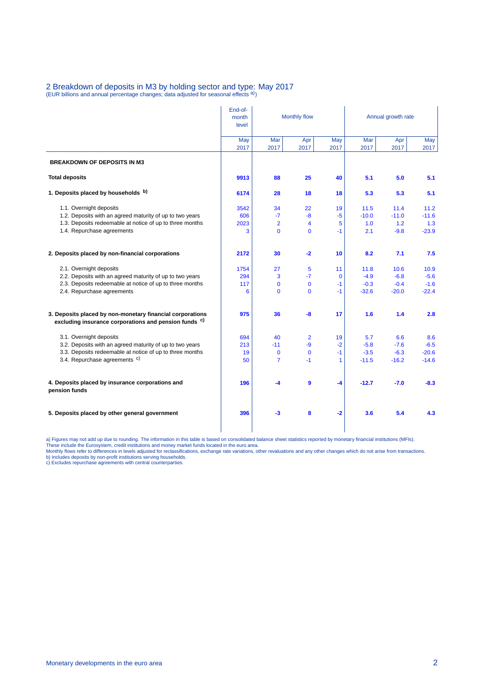## 2 Breakdown of deposits in M3 by holding sector and type: May 2017<br>(EUR billions and annual percentage changes; data adjusted for seasonal effects <sup>a)</sup>)

|                                                                                                                               | End-of-<br>month<br>level | Monthly flow   |                |             | Annual growth rate |             |             |  |
|-------------------------------------------------------------------------------------------------------------------------------|---------------------------|----------------|----------------|-------------|--------------------|-------------|-------------|--|
|                                                                                                                               | May<br>2017               | Mar<br>2017    | Apr<br>2017    | May<br>2017 | Mar<br>2017        | Apr<br>2017 | May<br>2017 |  |
| <b>BREAKDOWN OF DEPOSITS IN M3</b>                                                                                            |                           |                |                |             |                    |             |             |  |
| <b>Total deposits</b>                                                                                                         | 9913                      | 88             | 25             | 40          | 5.1                | 5.0         | 5.1         |  |
| 1. Deposits placed by households b)                                                                                           | 6174                      | 28             | 18             | 18          | 5.3                | 5.3         | 5.1         |  |
| 1.1. Overnight deposits                                                                                                       | 3542                      | 34             | 22             | 19          | 11.5               | 11.4        | 11.2        |  |
| 1.2. Deposits with an agreed maturity of up to two years                                                                      | 606                       | $-7$           | -8             | $-5$        | $-10.0$            | $-11.0$     | $-11.6$     |  |
| 1.3. Deposits redeemable at notice of up to three months                                                                      | 2023                      | $\overline{2}$ | $\overline{4}$ | 5           | 1.0                | 1.2         | 1.3         |  |
| 1.4. Repurchase agreements                                                                                                    | 3                         | $\mathbf 0$    | $\mathbf 0$    | $-1$        | 2.1                | $-9.8$      | $-23.9$     |  |
| 2. Deposits placed by non-financial corporations                                                                              | 2172                      | 30             | $-2$           | 10          | 8.2                | 7.1         | 7.5         |  |
| 2.1. Overnight deposits                                                                                                       | 1754                      | 27             | 5              | 11          | 11.8               | 10.6        | 10.9        |  |
| 2.2. Deposits with an agreed maturity of up to two years                                                                      | 294                       | 3              | $-7$           | $\mathbf 0$ | $-4.9$             | $-6.8$      | $-5.6$      |  |
| 2.3. Deposits redeemable at notice of up to three months                                                                      | 117                       | $\mathbf 0$    | $\mathbf{0}$   | $-1$        | $-0.3$             | $-0.4$      | $-1.6$      |  |
| 2.4. Repurchase agreements                                                                                                    | 6                         | $\Omega$       | $\mathbf 0$    | $-1$        | $-32.6$            | $-20.0$     | $-22.4$     |  |
| 3. Deposits placed by non-monetary financial corporations<br>excluding insurance corporations and pension funds <sup>c)</sup> | 975                       | 36             | $-8$           | 17          | 1.6                | 1.4         | 2.8         |  |
| 3.1. Overnight deposits                                                                                                       | 694                       | 40             | $\overline{2}$ | 19          | 5.7                | 6.6         | 8.6         |  |
| 3.2. Deposits with an agreed maturity of up to two years                                                                      | 213                       | $-11$          | $-9$           | $-2$        | $-5.8$             | $-7.6$      | $-6.5$      |  |
| 3.3. Deposits redeemable at notice of up to three months                                                                      | 19                        | $\mathbf{0}$   | $\mathbf 0$    | $-1$        | $-3.5$             | $-6.3$      | $-20.6$     |  |
| 3.4. Repurchase agreements <sup>c)</sup>                                                                                      | 50                        | $\overline{7}$ | $-1$           | 1           | $-11.5$            | $-16.2$     | $-14.6$     |  |
| 4. Deposits placed by insurance corporations and<br>pension funds                                                             | 196                       | -4             | $\mathbf{9}$   | -4          | $-12.7$            | $-7.0$      | $-8.3$      |  |
| 5. Deposits placed by other general government                                                                                | 396                       | $-3$           | 8              | $-2$        | 3.6                | 5.4         | 4.3         |  |

a) Figures may not add up due to rounding. The information in this table is based on consolidated balance sheet statistics reported by monetary financial institutions (MFIs).<br>These include the Eurosystem, credit institutio